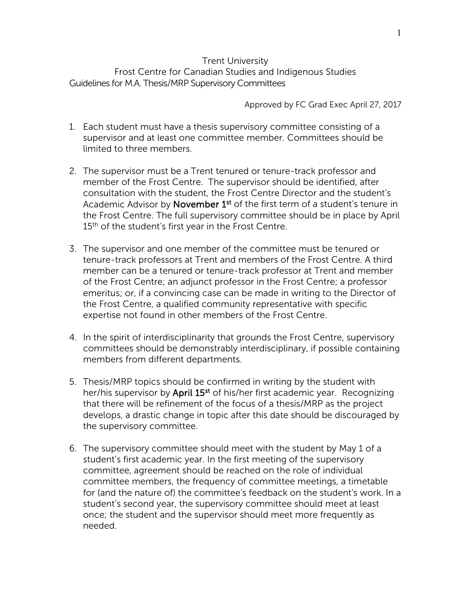## Trent University Frost Centre for Canadian Studies and Indigenous Studies Guidelines for M.A. Thesis/MRP Supervisory Committees

Approved by FC Grad Exec April 27, 2017

- 1. Each student must have a thesis supervisory committee consisting of a supervisor and at least one committee member. Committees should be limited to three members.
- 2. The supervisor must be a Trent tenured or tenure-track professor and member of the Frost Centre. The supervisor should be identified, after consultation with the student, the Frost Centre Director and the student's Academic Advisor by November 1<sup>st</sup> of the first term of a student's tenure in the Frost Centre. The full supervisory committee should be in place by April 15<sup>th</sup> of the student's first year in the Frost Centre.
- 3. The supervisor and one member of the committee must be tenured or tenure-track professors at Trent and members of the Frost Centre. A third member can be a tenured or tenure-track professor at Trent and member of the Frost Centre; an adjunct professor in the Frost Centre; a professor emeritus; or, if a convincing case can be made in writing to the Director of the Frost Centre, a qualified community representative with specific expertise not found in other members of the Frost Centre.
- 4. In the spirit of interdisciplinarity that grounds the Frost Centre, supervisory committees should be demonstrably interdisciplinary, if possible containing members from different departments.
- 5. Thesis/MRP topics should be confirmed in writing by the student with her/his supervisor by April 15<sup>st</sup> of his/her first academic year. Recognizing that there will be refinement of the focus of a thesis/MRP as the project develops, a drastic change in topic after this date should be discouraged by the supervisory committee.
- 6. The supervisory committee should meet with the student by May 1 of a student's first academic year. In the first meeting of the supervisory committee, agreement should be reached on the role of individual committee members, the frequency of committee meetings, a timetable for (and the nature of) the committee's feedback on the student's work. In a student's second year, the supervisory committee should meet at least once; the student and the supervisor should meet more frequently as needed.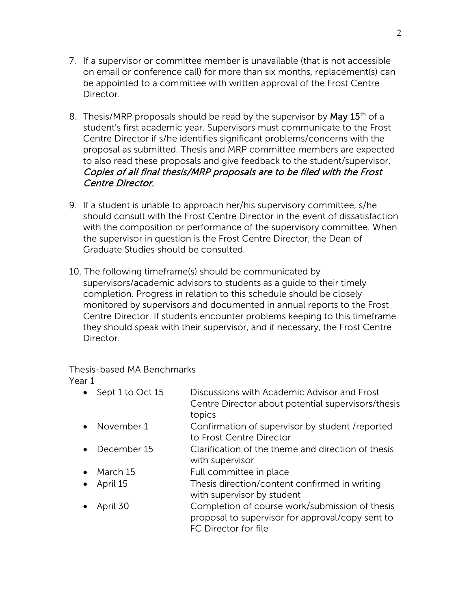- 7. If a supervisor or committee member is unavailable (that is not accessible on email or conference call) for more than six months, replacement(s) can be appointed to a committee with written approval of the Frost Centre Director.
- 8. Thesis/MRP proposals should be read by the supervisor by **May 15**<sup>th</sup> of a student's first academic year. Supervisors must communicate to the Frost Centre Director if s/he identifies significant problems/concerns with the proposal as submitted. Thesis and MRP committee members are expected to also read these proposals and give feedback to the student/supervisor. Copies of all final thesis/MRP proposals are to be filed with the Frost Centre Director.
- 9. If a student is unable to approach her/his supervisory committee, s/he should consult with the Frost Centre Director in the event of dissatisfaction with the composition or performance of the supervisory committee. When the supervisor in question is the Frost Centre Director, the Dean of Graduate Studies should be consulted.
- 10. The following timeframe(s) should be communicated by supervisors/academic advisors to students as a guide to their timely completion. Progress in relation to this schedule should be closely monitored by supervisors and documented in annual reports to the Frost Centre Director. If students encounter problems keeping to this timeframe they should speak with their supervisor, and if necessary, the Frost Centre Director.

Thesis-based MA Benchmarks Year 1

• Sept 1 to Oct 15 Discussions with Academic Advisor and Frost Centre Director about potential supervisors/thesis topics • November 1 Confirmation of supervisor by student /reported to Frost Centre Director • December 15 Clarification of the theme and direction of thesis with supervisor • March 15 Full committee in place • April 15 Thesis direction/content confirmed in writing with supervisor by student • April 30 Completion of course work/submission of thesis proposal to supervisor for approval/copy sent to FC Director for file